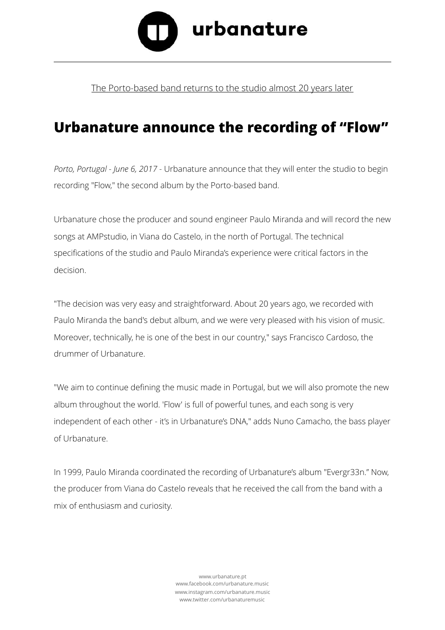

## The Porto-based band returns to the studio almost 20 years later

## **Urbanature announce the recording of "Flow"**

*Porto, Portugal - June 6, 2017* - Urbanature announce that they will enter the studio to begin recording "Flow," the second album by the Porto-based band.

Urbanature chose the producer and sound engineer Paulo Miranda and will record the new songs at AMPstudio, in Viana do Castelo, in the north of Portugal. The technical specifications of the studio and Paulo Miranda's experience were critical factors in the decision.

"The decision was very easy and straightforward. About 20 years ago, we recorded with Paulo Miranda the band's debut album, and we were very pleased with his vision of music. Moreover, technically, he is one of the best in our country," says Francisco Cardoso, the drummer of Urbanature.

"We aim to continue defining the music made in Portugal, but we will also promote the new album throughout the world. 'Flow' is full of powerful tunes, and each song is very independent of each other - it's in Urbanature's DNA," adds Nuno Camacho, the bass player of Urbanature.

In 1999, Paulo Miranda coordinated the recording of Urbanature's album "Evergr33n." Now, the producer from Viana do Castelo reveals that he received the call from the band with a mix of enthusiasm and curiosity.

> [www.urbanature.pt](http://www.urbanature.pt) [www.facebook.com/urbanature.music](http://www.facebook.com/urbanature.music)  [www.instagram.com/urbanature.music](http://www.instagram.com/urbanature.music) [www.twitter.com/urbanaturemusic](http://www.twitter.com/urbanaturemusic)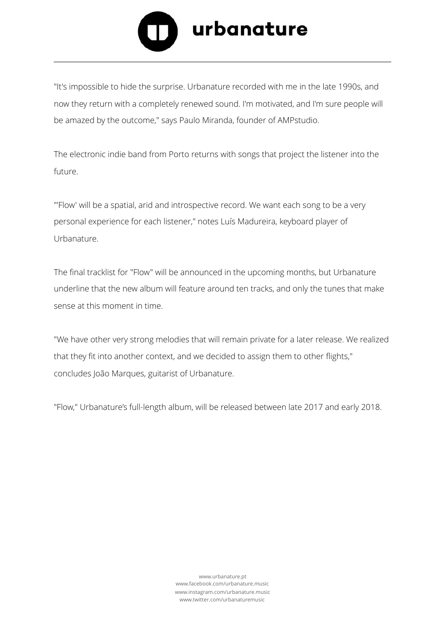

"It's impossible to hide the surprise. Urbanature recorded with me in the late 1990s, and now they return with a completely renewed sound. I'm motivated, and I'm sure people will be amazed by the outcome," says Paulo Miranda, founder of AMPstudio.

The electronic indie band from Porto returns with songs that project the listener into the future.

"'Flow' will be a spatial, arid and introspective record. We want each song to be a very personal experience for each listener," notes Luís Madureira, keyboard player of Urbanature.

The final tracklist for "Flow" will be announced in the upcoming months, but Urbanature underline that the new album will feature around ten tracks, and only the tunes that make sense at this moment in time.

"We have other very strong melodies that will remain private for a later release. We realized that they fit into another context, and we decided to assign them to other flights," concludes João Marques, guitarist of Urbanature.

"Flow," Urbanature's full-length album, will be released between late 2017 and early 2018.

[www.urbanature.pt](http://www.urbanature.pt) [www.facebook.com/urbanature.music](http://www.facebook.com/urbanature.music)  [www.instagram.com/urbanature.music](http://www.instagram.com/urbanature.music) [www.twitter.com/urbanaturemusic](http://www.twitter.com/urbanaturemusic)